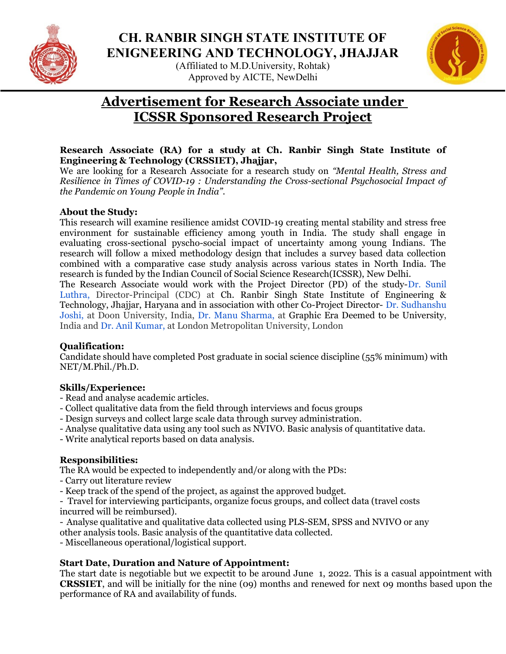

## CH. RANBIR SINGH STATE INSTITUTE OF ENIGNEERING AND TECHNOLOGY, JHAJJAR

(Affiliated to M.D.University, Rohtak) Approved by AICTE, NewDelhi



# Advertisement for Research Associate under ICSSR Sponsored Research Project

#### Research Associate (RA) for a study at Ch. Ranbir Singh State Institute of Engineering & Technology (CRSSIET), Jhajjar,

We are looking for a Research Associate for a research study on "Mental Health, Stress and Resilience in Times of COVID-19 : Understanding the Cross-sectional Psychosocial Impact of the Pandemic on Young People in India".

#### About the Study:

This research will examine resilience amidst COVID-19 creating mental stability and stress free environment for sustainable efficiency among youth in India. The study shall engage in evaluating cross-sectional pyscho-social impact of uncertainty among young Indians. The research will follow a mixed methodology design that includes a survey based data collection combined with a comparative case study analysis across various states in North India. The research is funded by the Indian Council of Social Science Research(ICSSR), New Delhi.

The Research Associate would work with the Project Director (PD) of the study-Dr. Sunil Luthra, Director-Principal (CDC) at Ch. Ranbir Singh State Institute of Engineering & Technology, Jhajjar, Haryana and in association with other Co-Project Director- Dr. Sudhanshu Joshi, at Doon University, India, Dr. Manu Sharma, at Graphic Era Deemed to be University, India and Dr. Anil Kumar, at London Metropolitan University, London

#### Qualification:

Candidate should have completed Post graduate in social science discipline (55% minimum) with NET/M.Phil./Ph.D.

## Skills/Experience:

- Read and analyse academic articles.
- Collect qualitative data from the field through interviews and focus groups
- Design surveys and collect large scale data through survey administration.
- Analyse qualitative data using any tool such as NVIVO. Basic analysis of quantitative data.
- Write analytical reports based on data analysis.

## Responsibilities:

The RA would be expected to independently and/or along with the PDs:

- Carry out literature review
- Keep track of the spend of the project, as against the approved budget.

- Travel for interviewing participants, organize focus groups, and collect data (travel costs incurred will be reimbursed).

- Analyse qualitative and qualitative data collected using PLS-SEM, SPSS and NVIVO or any

other analysis tools. Basic analysis of the quantitative data collected.

- Miscellaneous operational/logistical support.

## Start Date, Duration and Nature of Appointment:

The start date is negotiable but we expectit to be around June 1, 2022. This is a casual appointment with CRSSIET, and will be initially for the nine (09) months and renewed for next 09 months based upon the performance of RA and availability of funds.